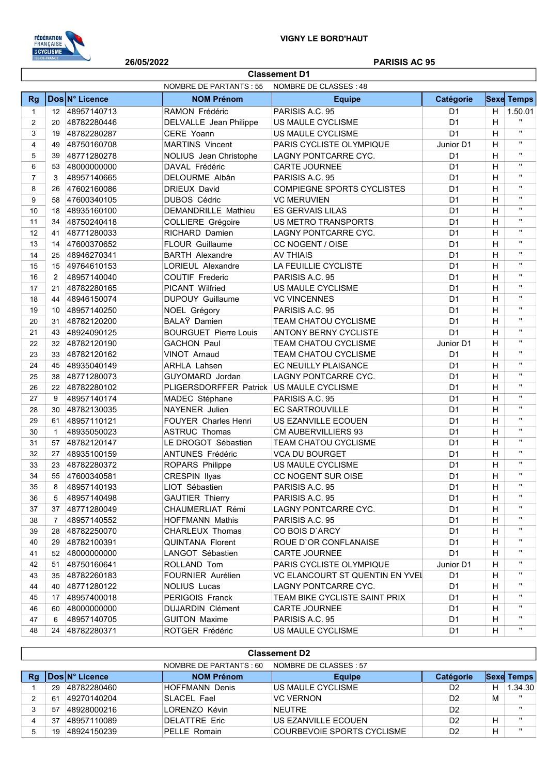

I

## 26/05/2022 PARISIS AC 95

|                | <b>Classement D1</b> |                |                                          |                                 |                |                |                   |  |  |
|----------------|----------------------|----------------|------------------------------------------|---------------------------------|----------------|----------------|-------------------|--|--|
|                |                      |                | <b>NOMBRE DE PARTANTS: 55</b>            | NOMBRE DE CLASSES: 48           |                |                |                   |  |  |
| <b>Rg</b>      |                      | Dos N° Licence | <b>NOM Prénom</b>                        | <b>Equipe</b>                   | Catégorie      |                | <b>Sexe Temps</b> |  |  |
| $\mathbf{1}$   | $12 \overline{ }$    | 48957140713    | RAMON Frédéric                           | PARISIS A.C. 95                 | D <sub>1</sub> | H.             | 1.50.01           |  |  |
| $\overline{2}$ | 20                   | 48782280446    | DELVALLE Jean Philippe                   | US MAULE CYCLISME               | D <sub>1</sub> | $\overline{H}$ | $\mathbf{H}$      |  |  |
| 3              | 19                   | 48782280287    | CERE Yoann                               | US MAULE CYCLISME               | D <sub>1</sub> | H              | $\mathbf{u}$      |  |  |
| $\overline{4}$ | 49                   | 48750160708    | <b>MARTINS Vincent</b>                   | PARIS CYCLISTE OLYMPIQUE        | Junior D1      | H              | $\mathbf{H}$      |  |  |
| 5              | 39                   | 48771280278    | NOLIUS Jean Christophe                   | LAGNY PONTCARRE CYC.            | D1             | H              | $\mathbf{H}$      |  |  |
| 6              | 53                   | 48000000000    | DAVAL Frédéric                           | <b>CARTE JOURNEE</b>            | D <sub>1</sub> | H              | $\mathbf{H}$      |  |  |
| $\overline{7}$ | 3                    | 48957140665    | DELOURME Albân                           | PARISIS A.C. 95                 | D <sub>1</sub> | н              | $\mathbf{H}$      |  |  |
| 8              | 26                   | 47602160086    | <b>DRIEUX David</b>                      | COMPIEGNE SPORTS CYCLISTES      | D <sub>1</sub> | Н              | $\mathbf{H}$      |  |  |
| 9              | 58                   | 47600340105    | <b>DUBOS Cédric</b>                      | <b>VC MERUVIEN</b>              | D <sub>1</sub> | H              | $\mathbf{H}$      |  |  |
| 10             | 18                   | 48935160100    | <b>DEMANDRILLE Mathieu</b>               | <b>ES GERVAIS LILAS</b>         | D <sub>1</sub> | Н              | $\mathbf{H}$      |  |  |
| 11             | 34                   | 48750240418    | <b>COLLIERE Grégoire</b>                 | US METRO TRANSPORTS             | D <sub>1</sub> | H              | $\mathbf{H}$      |  |  |
| 12             | 41                   | 48771280033    | RICHARD Damien                           | LAGNY PONTCARRE CYC.            | D <sub>1</sub> | Н              | $\mathbf{H}$      |  |  |
| 13             | 14                   | 47600370652    | <b>FLOUR Guillaume</b>                   | CC NOGENT / OISE                | D <sub>1</sub> | H              | $\mathbf{H}$      |  |  |
| 14             | 25                   | 48946270341    | <b>BARTH Alexandre</b>                   | <b>AV THIAIS</b>                | D <sub>1</sub> | H              | $\mathbf{H}$      |  |  |
| 15             | 15                   | 49764610153    | LORIEUL Alexandre                        | LA FEUILLIE CYCLISTE            | D <sub>1</sub> | н              | $\mathbf{H}$      |  |  |
| 16             | 2                    | 48957140040    | <b>COUTIF Frederic</b>                   | PARISIS A.C. 95                 | D <sub>1</sub> | Н              | $\mathbf{H}$      |  |  |
| 17             | 21                   | 48782280165    | PICANT Wilfried                          | <b>US MAULE CYCLISME</b>        | D <sub>1</sub> | H              | $\mathbf{H}$      |  |  |
| 18             | 44                   | 48946150074    | <b>DUPOUY Guillaume</b>                  | <b>VC VINCENNES</b>             | D <sub>1</sub> | H              | $\mathbf{H}$      |  |  |
| 19             | 10                   | 48957140250    | NOEL Grégory                             | PARISIS A.C. 95                 | D <sub>1</sub> | H              | $\mathbf{H}$      |  |  |
| 20             | 31                   | 48782120200    | BALAŸ Damien                             | TEAM CHATOU CYCLISME            | D <sub>1</sub> | H              | $\mathbf{H}$      |  |  |
| 21             | 43                   | 48924090125    | <b>BOURGUET Pierre Louis</b>             | <b>ANTONY BERNY CYCLISTE</b>    | D <sub>1</sub> | Н              | $\mathbf{H}$      |  |  |
| 22             |                      | 32 48782120190 | <b>GACHON Paul</b>                       | TEAM CHATOU CYCLISME            | Junior D1      | Н              | $\mathbf{H}$      |  |  |
| 23             | 33                   | 48782120162    | <b>VINOT Arnaud</b>                      | TEAM CHATOU CYCLISME            | D <sub>1</sub> | H              | $\mathbf{H}$      |  |  |
| 24             | 45                   | 48935040149    | <b>ARHLA Lahsen</b>                      | EC NEUILLY PLAISANCE            | D <sub>1</sub> | н              | $\mathbf{H}$      |  |  |
| 25             | 38                   | 48771280073    | GUYOMARD Jordan                          | LAGNY PONTCARRE CYC.            | D <sub>1</sub> | Н              | $\mathbf{H}$      |  |  |
| 26             | 22                   | 48782280102    | PLIGERSDORFFER Patrick US MAULE CYCLISME |                                 | D <sub>1</sub> | Н              | $\mathbf{H}$      |  |  |
| 27             | 9                    | 48957140174    | MADEC Stéphane                           | PARISIS A.C. 95                 | D <sub>1</sub> | н              | $\mathbf{H}$      |  |  |
| 28             | 30                   | 48782130035    | NAYENER Julien                           | <b>EC SARTROUVILLE</b>          | D <sub>1</sub> | н              | $\mathbf{H}$      |  |  |
| 29             | 61                   | 48957110121    | <b>FOUYER Charles Henri</b>              | US EZANVILLE ECOUEN             | D <sub>1</sub> | Н              | $\mathbf{H}$      |  |  |
| 30             | $\mathbf{1}$         | 48935050023    | <b>ASTRUC Thomas</b>                     | <b>CM AUBERVILLIERS 93</b>      | D <sub>1</sub> | Н              | $\mathbf{H}$      |  |  |
| 31             | 57                   | 48782120147    | LE DROGOT Sébastien                      | <b>TEAM CHATOU CYCLISME</b>     | D <sub>1</sub> | н              | $\mathbf{H}$      |  |  |
| 32             | 27                   | 48935100159    | <b>ANTUNES Frédéric</b>                  | <b>VCA DU BOURGET</b>           | D <sub>1</sub> | H              | $\mathbf{H}$      |  |  |
| 33             | 23                   | 48782280372    | ROPARS Philippe                          | US MAULE CYCLISME               | D <sub>1</sub> | H              | $\mathbf{u}$      |  |  |
| 34             | 55                   | 47600340581    | <b>CRESPIN Ilyas</b>                     | CC NOGENT SUR OISE              | D <sub>1</sub> | H              | H.                |  |  |
| 35             | 8                    | 48957140193    | LIOT Sébastien                           | PARISIS A.C. 95                 | D1             | H              | $\mathbf{H}$      |  |  |
| 36             | 5                    | 48957140498    | <b>GAUTIER Thierry</b>                   | PARISIS A.C. 95                 | D <sub>1</sub> | H              | $\mathbf{H}$      |  |  |
| 37             |                      | 37 48771280049 | CHAUMERLIAT Rémi                         | LAGNY PONTCARRE CYC.            | D <sub>1</sub> | н              | $\mathbf{H}$      |  |  |
| 38             | 7                    | 48957140552    | <b>HOFFMANN Mathis</b>                   | PARISIS A.C. 95                 | D <sub>1</sub> | н              |                   |  |  |
| 39             | 28                   | 48782250070    | CHARLEUX Thomas                          | CO BOIS D'ARCY                  | D <sub>1</sub> | н              | $\mathbf{H}$      |  |  |
| 40             |                      | 29 48782100391 | <b>QUINTANA Florent</b>                  | ROUE D'OR CONFLANAISE           | D <sub>1</sub> | н              | $\mathbf{H}$      |  |  |
| 41             |                      | 52 48000000000 | LANGOT Sébastien                         | <b>CARTE JOURNEE</b>            | D <sub>1</sub> | н              | $\mathbf{H}$      |  |  |
| 42             | 51                   | 48750160641    | ROLLAND Tom                              | PARIS CYCLISTE OLYMPIQUE        | Junior D1      | н              |                   |  |  |
| 43             |                      | 35 48782260183 | FOURNIER Aurélien                        | VC ELANCOURT ST QUENTIN EN YVEI | D <sub>1</sub> | н              |                   |  |  |
| 44             |                      | 40 48771280122 | NOLIUS Lucas                             | LAGNY PONTCARRE CYC.            | D <sub>1</sub> | н              | $\mathbf{H}$      |  |  |
| 45             |                      | 17 48957400018 | PERIGOIS Franck                          | TEAM BIKE CYCLISTE SAINT PRIX   | D <sub>1</sub> | н              | $\mathbf{H}$      |  |  |
| 46             |                      | 60 48000000000 | <b>DUJARDIN Clément</b>                  | <b>CARTE JOURNEE</b>            | D <sub>1</sub> | н              | $\mathbf{H}$      |  |  |
| 47             | 6                    | 48957140705    | <b>GUITON Maxime</b>                     | PARISIS A.C. 95                 | D <sub>1</sub> | Н              |                   |  |  |
| 48             | 24                   | 48782280371    | ROTGER Frédéric                          | US MAULE CYCLISME               | D <sub>1</sub> | H              | п.                |  |  |

|    | <b>Classement D2</b>                              |                |                      |                            |                  |             |              |  |  |
|----|---------------------------------------------------|----------------|----------------------|----------------------------|------------------|-------------|--------------|--|--|
|    | NOMBRE DE PARTANTS : 60<br>NOMBRE DE CLASSES : 57 |                |                      |                            |                  |             |              |  |  |
| Rg |                                                   | Dos N° Licence | <b>NOM Prénom</b>    | <b>Equipe</b>              | <b>Catégorie</b> | <b>Sexe</b> | Temps        |  |  |
|    | 29                                                | 48782280460    | HOFFMANN Denis       | US MAULE CYCLISME          | D <sub>2</sub>   | н           | 1.34.30      |  |  |
|    | 61                                                | 49270140204    | SLACEL Fael          | <b>VC VERNON</b>           | D <sub>2</sub>   | м           |              |  |  |
|    | 57                                                | 48928000216    | LORENZO Kévin        | <b>NEUTRE</b>              | D <sub>2</sub>   |             | $\mathbf{u}$ |  |  |
| 4  | 37                                                | 48957110089    | <b>DELATTRE Eric</b> | US EZANVILLE ECOUEN        | D <sub>2</sub>   | н           | $\mathbf{u}$ |  |  |
|    |                                                   | 48924150239    | <b>PELLE Romain</b>  | COURBEVOIE SPORTS CYCLISME | D <sub>2</sub>   | н           | $\mathbf{u}$ |  |  |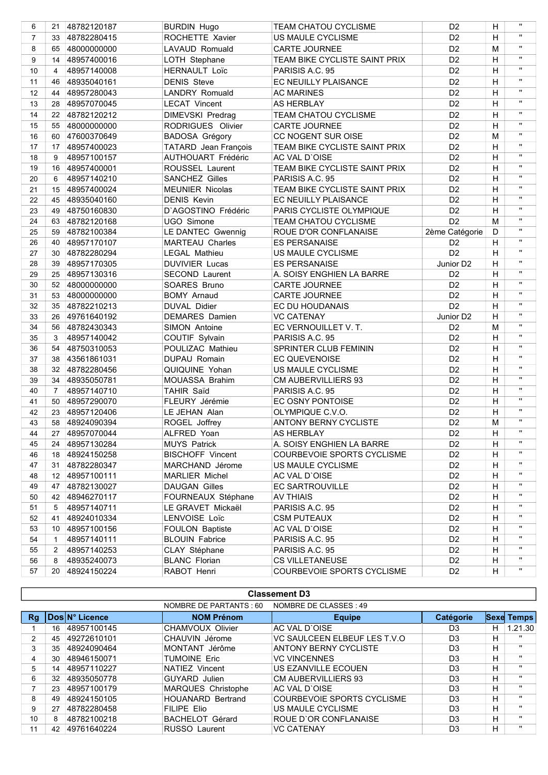| 6              | 21             | 48782120187    | <b>BURDIN Hugo</b>      | <b>TEAM CHATOU CYCLISME</b>   | D <sub>2</sub>        | H                         | $\mathbf{u}$       |
|----------------|----------------|----------------|-------------------------|-------------------------------|-----------------------|---------------------------|--------------------|
| $\overline{7}$ | 33             | 48782280415    | ROCHETTE Xavier         | US MAULE CYCLISME             | D <sub>2</sub>        | H                         | $\mathbf{u}$       |
| 8              | 65             | 48000000000    | LAVAUD Romuald          | <b>CARTE JOURNEE</b>          | D <sub>2</sub>        | M                         | $\mathbf{H}$       |
| 9              | 14             | 48957400016    | LOTH Stephane           | TEAM BIKE CYCLISTE SAINT PRIX | D <sub>2</sub>        | H                         | $\mathbf{u}$       |
| 10             | 4              | 48957140008    | <b>HERNAULT Loïc</b>    | PARISIS A.C. 95               | D <sub>2</sub>        | H                         | $\mathbf{H}$       |
| 11             | 46             | 48935040161    | <b>DENIS Steve</b>      | EC NEUILLY PLAISANCE          | D <sub>2</sub>        | H                         | $\mathbf{u}$       |
| 12             | 44             | 48957280043    | <b>LANDRY Romuald</b>   | <b>AC MARINES</b>             | D <sub>2</sub>        | H                         | $\mathbf{u}$       |
| 13             | 28             | 48957070045    | <b>LECAT Vincent</b>    | AS HERBLAY                    | D <sub>2</sub>        | H                         | $\mathbf{u}$       |
| 14             | 22             | 48782120212    | <b>DIMEVSKI Predrag</b> | TEAM CHATOU CYCLISME          | D <sub>2</sub>        | H                         | $\mathbf{u}$       |
| 15             | 55             | 48000000000    | RODRIGUES Olivier       | <b>CARTE JOURNEE</b>          | D <sub>2</sub>        | H                         | $\mathbf{H}$       |
| 16             | 60             | 47600370649    | BADOSA Grégory          | CC NOGENT SUR OISE            | D <sub>2</sub>        | M                         | $\pmb{\mathsf{H}}$ |
| 17             | 17             | 48957400023    | TATARD Jean François    | TEAM BIKE CYCLISTE SAINT PRIX | D <sub>2</sub>        | H                         | $\pmb{\mathsf{H}}$ |
| 18             | 9              | 48957100157    | AUTHOUART Frédéric      | AC VAL D'OISE                 | D <sub>2</sub>        | H                         | $\pmb{\mathsf{H}}$ |
| 19             | 16             | 48957400001    | ROUSSEL Laurent         | TEAM BIKE CYCLISTE SAINT PRIX | D <sub>2</sub>        | H                         | $\mathbf{u}$       |
| 20             | 6              | 48957140210    | <b>SANCHEZ Gilles</b>   | PARISIS A.C. 95               | D <sub>2</sub>        | H                         | $\mathbf{u}$       |
| 21             | 15             | 48957400024    | <b>MEUNIER Nicolas</b>  | TEAM BIKE CYCLISTE SAINT PRIX | D <sub>2</sub>        | H                         | $\mathbf{u}$       |
| 22             | 45             | 48935040160    | <b>DENIS Kevin</b>      | EC NEUILLY PLAISANCE          | D <sub>2</sub>        | H                         | $\mathbf{u}$       |
| 23             | 49             | 48750160830    | D'AGOSTINO Frédéric     | PARIS CYCLISTE OLYMPIQUE      | D <sub>2</sub>        | Н                         | $\mathbf{H}$       |
| 24             | 63             | 48782120168    | UGO Simone              | TEAM CHATOU CYCLISME          | D <sub>2</sub>        | M                         | $\mathbf{u}$       |
| 25             | 59             | 48782100384    | LE DANTEC Gwennig       | ROUE D'OR CONFLANAISE         | 2ème Catégorie        | D                         | $\mathbf{u}$       |
| 26             | 40             | 48957170107    | <b>MARTEAU Charles</b>  | <b>ES PERSANAISE</b>          | D <sub>2</sub>        | H                         | $\mathbf{u}$       |
| 27             | 30             | 48782280294    | <b>LEGAL Mathieu</b>    | US MAULE CYCLISME             | D <sub>2</sub>        | Н                         | $\mathbf{u}$       |
| 28             | 39             | 48957170305    | <b>DUVIVIER Lucas</b>   | <b>ES PERSANAISE</b>          | Junior D <sub>2</sub> | H                         | $\pmb{\mathsf{H}}$ |
| 29             | 25             | 48957130316    | <b>SECOND Laurent</b>   | A. SOISY ENGHIEN LA BARRE     | D <sub>2</sub>        | Н                         | $\mathbf{u}$       |
| 30             | 52             | 48000000000    | SOARES Bruno            | <b>CARTE JOURNEE</b>          | D <sub>2</sub>        | $\overline{H}$            | $\mathbf{H}$       |
| 31             | 53             | 48000000000    | <b>BOMY Arnaud</b>      | <b>CARTE JOURNEE</b>          | D <sub>2</sub>        | H                         | $\mathbf{u}$       |
| 32             | 35             | 48782210213    | <b>DUVAL Didier</b>     | EC DU HOUDANAIS               | D <sub>2</sub>        | Н                         | $\mathbf{u}$       |
| 33             | 26             | 49761640192    | <b>DEMARES</b> Damien   | <b>VC CATENAY</b>             | Junior D2             | $\overline{H}$            | $\mathbf{u}$       |
| 34             | 56             | 48782430343    | SIMON Antoine           | EC VERNOUILLET V.T.           | D <sub>2</sub>        | M                         | $\pmb{\mathsf{H}}$ |
| 35             | 3              | 48957140042    | COUTIF Sylvain          | PARISIS A.C. 95               | D <sub>2</sub>        | н                         | $\mathbf{u}$       |
| 36             | 54             | 48750310053    | POULIZAC Mathieu        | SPRINTER CLUB FEMININ         | D <sub>2</sub>        | н                         | $\mathbf{H}$       |
| 37             | 38             | 43561861031    | <b>DUPAU Romain</b>     | <b>EC QUEVENOISE</b>          | D <sub>2</sub>        | н                         | $\mathbf{u}$       |
| 38             | 32             | 48782280456    | QUIQUINE Yohan          | US MAULE CYCLISME             | D <sub>2</sub>        | н                         | $\mathbf{u}$       |
| 39             | 34             | 48935050781    | MOUASSA Brahim          | <b>CM AUBERVILLIERS 93</b>    | D <sub>2</sub>        | H                         | $\mathbf{u}$       |
| 40             | $\overline{7}$ | 48957140710    | <b>TAHIR Saïd</b>       | PARISIS A.C. 95               | D <sub>2</sub>        | H                         | $\mathbf{H}$       |
| 41             |                | 50 48957290070 | FLEURY Jérémie          | EC OSNY PONTOISE              | D <sub>2</sub>        | H                         | $\mathbf{H}$       |
| 42             |                | 23 48957120406 | LE JEHAN Alan           | OLYMPIQUE C.V.O.              | D <sub>2</sub>        | H                         | $\mathbf{H}$       |
| 43             |                | 58 48924090394 | ROGEL Joffrey           | <b>ANTONY BERNY CYCLISTE</b>  | D <sub>2</sub>        | M                         | $\mathbf{H}$       |
| 44             |                | 27 48957070044 | ALFRED Yoan             | AS HERBLAY                    | D <sub>2</sub>        | $\boldsymbol{\mathsf{H}}$ | $\mathbf{u}$       |
| 45             | 24             | 48957130284    | <b>MUYS Patrick</b>     | A. SOISY ENGHIEN LA BARRE     | D <sub>2</sub>        | H                         | $\pmb{\mathsf{u}}$ |
| 46             |                | 18 48924150258 | <b>BISCHOFF Vincent</b> | COURBEVOIE SPORTS CYCLISME    | D <sub>2</sub>        | н                         | $\mathbf{u}$       |
| 47             | 31             | 48782280347    | MARCHAND Jérome         | US MAULE CYCLISME             | D <sub>2</sub>        | H                         | $\pmb{\mathsf{u}}$ |
| 48             | 12             | 48957100111    | <b>MARLIER Michel</b>   | AC VAL D'OISE                 | D <sub>2</sub>        | H                         | п                  |
| 49             | 47             | 48782130027    | <b>DAUGAN Gilles</b>    | EC SARTROUVILLE               | D <sub>2</sub>        | н                         |                    |
| 50             | 42             | 48946270117    | FOURNEAUX Stéphane      | <b>AV THIAIS</b>              | D <sub>2</sub>        | H                         |                    |
| 51             | 5              | 48957140711    | LE GRAVET Mickaël       | PARISIS A.C. 95               | D <sub>2</sub>        | н                         |                    |
| 52             | 41             | 48924010334    | LENVOISE Loïc           | <b>CSM PUTEAUX</b>            | D <sub>2</sub>        | Н                         | $\pmb{\mathsf{u}}$ |
| 53             |                | 10 48957100156 | FOULON Baptiste         | AC VAL D'OISE                 | D <sub>2</sub>        | н                         | $\mathbf{u}$       |
| 54             | $\mathbf{1}$   | 48957140111    | <b>BLOUIN Fabrice</b>   | PARISIS A.C. 95               | D <sub>2</sub>        | H                         |                    |
| 55             | 2              | 48957140253    | CLAY Stéphane           | PARISIS A.C. 95               | D <sub>2</sub>        | Н                         |                    |
| 56             | 8              | 48935240073    | <b>BLANC Florian</b>    | <b>CS VILLETANEUSE</b>        | D <sub>2</sub>        | H                         |                    |
| 57             | 20             | 48924150224    | RABOT Henri             | COURBEVOIE SPORTS CYCLISME    | D <sub>2</sub>        | н                         | $\pmb{\mathsf{H}}$ |
|                |                |                |                         |                               |                       |                           |                    |

|    | <b>Classement D3</b>                              |                |                          |                              |                |   |                   |  |
|----|---------------------------------------------------|----------------|--------------------------|------------------------------|----------------|---|-------------------|--|
|    | NOMBRE DE CLASSES : 49<br>NOMBRE DE PARTANTS : 60 |                |                          |                              |                |   |                   |  |
| Rg |                                                   | Dos N° Licence | <b>NOM Prénom</b>        | <b>Equipe</b>                | Catégorie      |   | <b>Sexe Temps</b> |  |
|    | 16                                                | 48957100145    | CHAMVOUX Olivier         | AC VAL D'OISE                | D <sub>3</sub> | н | 1.21.30           |  |
| 2  | 45                                                | 49272610101    | CHAUVIN Jérome           | VC SAULCEEN ELBEUF LES T.V.O | D <sub>3</sub> | H | $\mathbf{u}$      |  |
| 3  | 35                                                | 48924090464    | MONTANT Jérôme           | <b>ANTONY BERNY CYCLISTE</b> | D <sub>3</sub> | н | $\mathbf{H}$      |  |
| 4  | 30                                                | 48946150071    | <b>TUMOINE Eric</b>      | <b>VC VINCENNES</b>          | D <sub>3</sub> | н | $\mathbf{u}$      |  |
| 5  | 14                                                | 48957110227    | NATIEZ Vincent           | US EZANVILLE ECOUEN          | D <sub>3</sub> | н | $\mathbf{H}$      |  |
| 6  | 32                                                | 48935050778    | <b>GUYARD</b> Julien     | <b>CM AUBERVILLIERS 93</b>   | D <sub>3</sub> | н | $\mathbf{u}$      |  |
|    | 23                                                | 48957100179    | MARQUES Christophe       | AC VAL D`OISE                | D <sub>3</sub> | н | $\mathbf{H}$      |  |
| 8  | 49                                                | 48924150105    | <b>HOUANARD Bertrand</b> | COURBEVOIE SPORTS CYCLISME   | D <sub>3</sub> | н | $\mathbf{u}$      |  |
| 9  | 27                                                | 48782280458    | FILIPE Elio              | US MAULE CYCLISME            | D <sub>3</sub> | н | $\mathbf{u}$      |  |
| 10 | 8                                                 | 48782100218    | <b>BACHELOT Gérard</b>   | ROUE D'OR CONFLANAISE        | D <sub>3</sub> | н | $\mathbf{H}$      |  |
| 11 | 42                                                | 49761640224    | <b>RUSSO</b> Laurent     | <b>VC CATENAY</b>            | D <sub>3</sub> | н | $\mathbf{H}$      |  |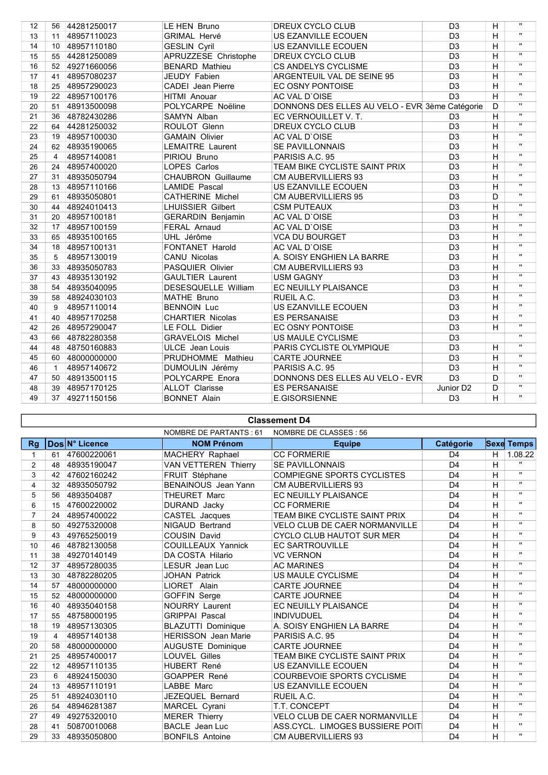| $\mathbf{u}$<br>H<br><b>GRIMAL Hervé</b><br>US EZANVILLE ECOUEN<br>D <sub>3</sub><br>11 48957110023<br>13<br>$\mathbf{u}$<br>H<br>D3<br>10 48957110180<br><b>GESLIN Cyril</b><br>US EZANVILLE ECOUEN<br>14<br>$\mathbf{u}$<br>APRUZZESE Christophe<br>$\overline{\mathsf{H}}$<br>15<br>DREUX CYCLO CLUB<br>D <sub>3</sub><br>55 44281250089<br>$\mathbf{u}$<br>$\overline{\mathsf{H}}$<br><b>BENARD Mathieu</b><br>CS ANDELYS CYCLISME<br>D <sub>3</sub><br>16<br>52 49271660056<br>$\overline{\mathsf{H}}$<br>$\mathbf{u}$<br>JEUDY Fabien<br>ARGENTEUIL VAL DE SEINE 95<br>D <sub>3</sub><br>17<br>48957080237<br>41<br>$\mathbf{u}$<br>D3<br>$\overline{\mathsf{H}}$<br>EC OSNY PONTOISE<br>18<br>25<br>48957290023<br><b>CADEI</b> Jean Pierre<br>$\mathbf{u}$<br>D <sub>3</sub><br>$\overline{\mathsf{H}}$<br>19<br>HITMI Anouar<br>AC VAL D'OISE<br>22<br>48957100176<br>$\mathbf{u}$<br>DONNONS DES ELLES AU VELO - EVR 3ème Catégorie<br>POLYCARPE Noëline<br>D<br>20<br>51<br>48913500098<br>$\mathbf{H}$<br>H<br>48782430286<br>SAMYN Alban<br>EC VERNOUILLET V. T.<br>D <sub>3</sub><br>21<br>36<br>$\mathbf{u}$<br>22<br>DREUX CYCLO CLUB<br>D <sub>3</sub><br>н<br>44281250032<br>ROULOT Glenn<br>64<br>$\mathbf{H}$<br>$\overline{\mathsf{H}}$<br>23<br>D <sub>3</sub><br>48957100030<br><b>GAMAIN Olivier</b><br>AC VAL D'OISE<br>19<br>$\mathbf{u}$<br>D <sub>3</sub><br>H<br>24<br>48935190065<br><b>LEMAITRE Laurent</b><br><b>SE PAVILLONNAIS</b><br>62<br>$\mathbf{u}$<br>H<br>25<br>48957140081<br>PARISIS A.C. 95<br>D <sub>3</sub><br>PIRIOU Bruno<br>4<br>$\mathbf{u}$<br>$\overline{D3}$<br>$\overline{\mathsf{H}}$<br>26<br>48957400020<br>LOPES Carlos<br>TEAM BIKE CYCLISTE SAINT PRIX<br>24<br>$\mathbf{H}$<br>D <sub>3</sub><br>H<br>48935050794<br><b>CHAUBRON Guillaume</b><br><b>CM AUBERVILLIERS 93</b><br>27<br>31<br>$\overline{\mathsf{H}}$<br>$\mathbf{H}$<br>D <sub>3</sub><br>48957110166<br><b>LAMIDE Pascal</b><br>US EZANVILLE ECOUEN<br>28<br>13<br>$\mathbf{u}$<br>D <sub>3</sub><br>D<br>48935050801<br><b>CATHERINE Michel</b><br><b>CM AUBERVILLIERS 95</b><br>29<br>61<br>$\mathbf{H}$<br>D <sub>3</sub><br>Η<br>30<br>48924010413<br><b>LHUISSIER Gilbert</b><br><b>CSM PUTEAUX</b><br>44<br>$\overline{\mathbf{u}}$<br>D3<br>$\overline{\mathsf{H}}$<br>31<br>48957100181<br><b>GERARDIN Benjamin</b><br>AC VAL D'OISE<br>20<br>$\mathbf{u}$<br>D3<br>$\overline{\mathsf{H}}$<br>32<br>FERAL Arnaud<br>AC VAL D'OISE<br>17<br>48957100159<br>$\mathbf{H}$<br>D <sub>3</sub><br>H<br>33<br>UHL Jérôme<br><b>VCA DU BOURGET</b><br>65<br>48935100165<br>$\mathbf{u}$<br>34<br>D <sub>3</sub><br>H<br>48957100131<br><b>FONTANET Harold</b><br>AC VAL D'OISE<br>18<br>$\mathbf{u}$<br>D <sub>3</sub><br>H<br>35<br>48957130019<br>CANU Nicolas<br>A. SOISY ENGHIEN LA BARRE<br>5<br>$\mathbf{H}$<br>PASQUIER Olivier<br>D <sub>3</sub><br>H<br>48935050783<br><b>CM AUBERVILLIERS 93</b><br>36<br>33<br>$\overline{\mathbf{u}}$<br>D <sub>3</sub><br>H<br>37<br>48935130192<br><b>GAULTIER Laurent</b><br><b>USM GAGNY</b><br>43<br>$\mathbf{u}$<br>38<br>D <sub>3</sub><br>Η<br>48935040095<br>DESESQUELLE William<br>EC NEUILLY PLAISANCE<br>54<br>$\mathbf{H}$<br>D <sub>3</sub><br>H<br>39<br>48924030103<br><b>MATHE Bruno</b><br>58<br>RUEIL A.C.<br>$\mathbf{u}$<br>D <sub>3</sub><br>H<br>40<br>48957110014<br><b>BENNOIN Luc</b><br>US EZANVILLE ECOUEN<br>9<br>$\mathbf{u}$<br><b>CHARTIER Nicolas</b><br><b>ES PERSANAISE</b><br>D <sub>3</sub><br>H<br>41<br>48957170258<br>40<br>$\mathbf{H}$<br>$\overline{D3}$<br>$\overline{\mathsf{H}}$<br>42<br>LE FOLL Didier<br>EC OSNY PONTOISE<br>48957290047<br>26<br>$\mathbf{H}$<br>$\overline{D3}$<br><b>GRAVELOIS Michel</b><br>US MAULE CYCLISME<br>43<br>48782280358<br>66<br>$\mathbf{H}$<br>D <sub>3</sub><br>44<br>48750160883<br><b>ULCE</b> Jean Louis<br>PARIS CYCLISTE OLYMPIQUE<br>H<br>48<br>H<br>$\mathbf{u}$<br>D <sub>3</sub><br>45<br>60 48000000000<br>PRUDHOMME Mathieu<br><b>CARTE JOURNEE</b><br>$\overline{\mathsf{H}}$<br>$\mathbf{H}$<br>D <sub>3</sub><br>46<br>DUMOULIN Jérémy<br>48957140672<br>PARISIS A.C. 95<br>$\mathbf{1}$<br>$\mathbf{u}$<br>D3<br>POLYCARPE Enora<br>DONNONS DES ELLES AU VELO - EVR<br>D<br>47<br>48913500115<br>50<br>$\mathbf{u}$<br>48957170125<br><b>ALLOT Clarisse</b><br><b>ES PERSANAISE</b><br>Junior D <sub>2</sub><br>48<br>D<br>39<br>$\mathbf{u}$<br>$\overline{H}$<br>49<br>49271150156<br><b>BONNET Alain</b><br>E.GISORSIENNE<br>D <sub>3</sub><br>37 | 12 | 56 | 44281250017 | LE HEN Bruno | DREUX CYCLO CLUB | D <sub>3</sub> | H | $\mathbf{u}$ |
|----------------------------------------------------------------------------------------------------------------------------------------------------------------------------------------------------------------------------------------------------------------------------------------------------------------------------------------------------------------------------------------------------------------------------------------------------------------------------------------------------------------------------------------------------------------------------------------------------------------------------------------------------------------------------------------------------------------------------------------------------------------------------------------------------------------------------------------------------------------------------------------------------------------------------------------------------------------------------------------------------------------------------------------------------------------------------------------------------------------------------------------------------------------------------------------------------------------------------------------------------------------------------------------------------------------------------------------------------------------------------------------------------------------------------------------------------------------------------------------------------------------------------------------------------------------------------------------------------------------------------------------------------------------------------------------------------------------------------------------------------------------------------------------------------------------------------------------------------------------------------------------------------------------------------------------------------------------------------------------------------------------------------------------------------------------------------------------------------------------------------------------------------------------------------------------------------------------------------------------------------------------------------------------------------------------------------------------------------------------------------------------------------------------------------------------------------------------------------------------------------------------------------------------------------------------------------------------------------------------------------------------------------------------------------------------------------------------------------------------------------------------------------------------------------------------------------------------------------------------------------------------------------------------------------------------------------------------------------------------------------------------------------------------------------------------------------------------------------------------------------------------------------------------------------------------------------------------------------------------------------------------------------------------------------------------------------------------------------------------------------------------------------------------------------------------------------------------------------------------------------------------------------------------------------------------------------------------------------------------------------------------------------------------------------------------------------------------------------------------------------------------------------------------------------------------------------------------------------------------------------------------------------------------------------------------------------------------------------------------------------------------------------------------------------------------------------------------------------------------------------------------------------------------------------------------------------------------------------------------------------------------------------------------------------------------------------------------------------------------------------------------------------------------------------------------------------------------------------------------------------------------------------------|----|----|-------------|--------------|------------------|----------------|---|--------------|
|                                                                                                                                                                                                                                                                                                                                                                                                                                                                                                                                                                                                                                                                                                                                                                                                                                                                                                                                                                                                                                                                                                                                                                                                                                                                                                                                                                                                                                                                                                                                                                                                                                                                                                                                                                                                                                                                                                                                                                                                                                                                                                                                                                                                                                                                                                                                                                                                                                                                                                                                                                                                                                                                                                                                                                                                                                                                                                                                                                                                                                                                                                                                                                                                                                                                                                                                                                                                                                                                                                                                                                                                                                                                                                                                                                                                                                                                                                                                                                                                                                                                                                                                                                                                                                                                                                                                                                                                                                                                                                                                  |    |    |             |              |                  |                |   |              |
|                                                                                                                                                                                                                                                                                                                                                                                                                                                                                                                                                                                                                                                                                                                                                                                                                                                                                                                                                                                                                                                                                                                                                                                                                                                                                                                                                                                                                                                                                                                                                                                                                                                                                                                                                                                                                                                                                                                                                                                                                                                                                                                                                                                                                                                                                                                                                                                                                                                                                                                                                                                                                                                                                                                                                                                                                                                                                                                                                                                                                                                                                                                                                                                                                                                                                                                                                                                                                                                                                                                                                                                                                                                                                                                                                                                                                                                                                                                                                                                                                                                                                                                                                                                                                                                                                                                                                                                                                                                                                                                                  |    |    |             |              |                  |                |   |              |
|                                                                                                                                                                                                                                                                                                                                                                                                                                                                                                                                                                                                                                                                                                                                                                                                                                                                                                                                                                                                                                                                                                                                                                                                                                                                                                                                                                                                                                                                                                                                                                                                                                                                                                                                                                                                                                                                                                                                                                                                                                                                                                                                                                                                                                                                                                                                                                                                                                                                                                                                                                                                                                                                                                                                                                                                                                                                                                                                                                                                                                                                                                                                                                                                                                                                                                                                                                                                                                                                                                                                                                                                                                                                                                                                                                                                                                                                                                                                                                                                                                                                                                                                                                                                                                                                                                                                                                                                                                                                                                                                  |    |    |             |              |                  |                |   |              |
|                                                                                                                                                                                                                                                                                                                                                                                                                                                                                                                                                                                                                                                                                                                                                                                                                                                                                                                                                                                                                                                                                                                                                                                                                                                                                                                                                                                                                                                                                                                                                                                                                                                                                                                                                                                                                                                                                                                                                                                                                                                                                                                                                                                                                                                                                                                                                                                                                                                                                                                                                                                                                                                                                                                                                                                                                                                                                                                                                                                                                                                                                                                                                                                                                                                                                                                                                                                                                                                                                                                                                                                                                                                                                                                                                                                                                                                                                                                                                                                                                                                                                                                                                                                                                                                                                                                                                                                                                                                                                                                                  |    |    |             |              |                  |                |   |              |
|                                                                                                                                                                                                                                                                                                                                                                                                                                                                                                                                                                                                                                                                                                                                                                                                                                                                                                                                                                                                                                                                                                                                                                                                                                                                                                                                                                                                                                                                                                                                                                                                                                                                                                                                                                                                                                                                                                                                                                                                                                                                                                                                                                                                                                                                                                                                                                                                                                                                                                                                                                                                                                                                                                                                                                                                                                                                                                                                                                                                                                                                                                                                                                                                                                                                                                                                                                                                                                                                                                                                                                                                                                                                                                                                                                                                                                                                                                                                                                                                                                                                                                                                                                                                                                                                                                                                                                                                                                                                                                                                  |    |    |             |              |                  |                |   |              |
|                                                                                                                                                                                                                                                                                                                                                                                                                                                                                                                                                                                                                                                                                                                                                                                                                                                                                                                                                                                                                                                                                                                                                                                                                                                                                                                                                                                                                                                                                                                                                                                                                                                                                                                                                                                                                                                                                                                                                                                                                                                                                                                                                                                                                                                                                                                                                                                                                                                                                                                                                                                                                                                                                                                                                                                                                                                                                                                                                                                                                                                                                                                                                                                                                                                                                                                                                                                                                                                                                                                                                                                                                                                                                                                                                                                                                                                                                                                                                                                                                                                                                                                                                                                                                                                                                                                                                                                                                                                                                                                                  |    |    |             |              |                  |                |   |              |
|                                                                                                                                                                                                                                                                                                                                                                                                                                                                                                                                                                                                                                                                                                                                                                                                                                                                                                                                                                                                                                                                                                                                                                                                                                                                                                                                                                                                                                                                                                                                                                                                                                                                                                                                                                                                                                                                                                                                                                                                                                                                                                                                                                                                                                                                                                                                                                                                                                                                                                                                                                                                                                                                                                                                                                                                                                                                                                                                                                                                                                                                                                                                                                                                                                                                                                                                                                                                                                                                                                                                                                                                                                                                                                                                                                                                                                                                                                                                                                                                                                                                                                                                                                                                                                                                                                                                                                                                                                                                                                                                  |    |    |             |              |                  |                |   |              |
|                                                                                                                                                                                                                                                                                                                                                                                                                                                                                                                                                                                                                                                                                                                                                                                                                                                                                                                                                                                                                                                                                                                                                                                                                                                                                                                                                                                                                                                                                                                                                                                                                                                                                                                                                                                                                                                                                                                                                                                                                                                                                                                                                                                                                                                                                                                                                                                                                                                                                                                                                                                                                                                                                                                                                                                                                                                                                                                                                                                                                                                                                                                                                                                                                                                                                                                                                                                                                                                                                                                                                                                                                                                                                                                                                                                                                                                                                                                                                                                                                                                                                                                                                                                                                                                                                                                                                                                                                                                                                                                                  |    |    |             |              |                  |                |   |              |
|                                                                                                                                                                                                                                                                                                                                                                                                                                                                                                                                                                                                                                                                                                                                                                                                                                                                                                                                                                                                                                                                                                                                                                                                                                                                                                                                                                                                                                                                                                                                                                                                                                                                                                                                                                                                                                                                                                                                                                                                                                                                                                                                                                                                                                                                                                                                                                                                                                                                                                                                                                                                                                                                                                                                                                                                                                                                                                                                                                                                                                                                                                                                                                                                                                                                                                                                                                                                                                                                                                                                                                                                                                                                                                                                                                                                                                                                                                                                                                                                                                                                                                                                                                                                                                                                                                                                                                                                                                                                                                                                  |    |    |             |              |                  |                |   |              |
|                                                                                                                                                                                                                                                                                                                                                                                                                                                                                                                                                                                                                                                                                                                                                                                                                                                                                                                                                                                                                                                                                                                                                                                                                                                                                                                                                                                                                                                                                                                                                                                                                                                                                                                                                                                                                                                                                                                                                                                                                                                                                                                                                                                                                                                                                                                                                                                                                                                                                                                                                                                                                                                                                                                                                                                                                                                                                                                                                                                                                                                                                                                                                                                                                                                                                                                                                                                                                                                                                                                                                                                                                                                                                                                                                                                                                                                                                                                                                                                                                                                                                                                                                                                                                                                                                                                                                                                                                                                                                                                                  |    |    |             |              |                  |                |   |              |
|                                                                                                                                                                                                                                                                                                                                                                                                                                                                                                                                                                                                                                                                                                                                                                                                                                                                                                                                                                                                                                                                                                                                                                                                                                                                                                                                                                                                                                                                                                                                                                                                                                                                                                                                                                                                                                                                                                                                                                                                                                                                                                                                                                                                                                                                                                                                                                                                                                                                                                                                                                                                                                                                                                                                                                                                                                                                                                                                                                                                                                                                                                                                                                                                                                                                                                                                                                                                                                                                                                                                                                                                                                                                                                                                                                                                                                                                                                                                                                                                                                                                                                                                                                                                                                                                                                                                                                                                                                                                                                                                  |    |    |             |              |                  |                |   |              |
|                                                                                                                                                                                                                                                                                                                                                                                                                                                                                                                                                                                                                                                                                                                                                                                                                                                                                                                                                                                                                                                                                                                                                                                                                                                                                                                                                                                                                                                                                                                                                                                                                                                                                                                                                                                                                                                                                                                                                                                                                                                                                                                                                                                                                                                                                                                                                                                                                                                                                                                                                                                                                                                                                                                                                                                                                                                                                                                                                                                                                                                                                                                                                                                                                                                                                                                                                                                                                                                                                                                                                                                                                                                                                                                                                                                                                                                                                                                                                                                                                                                                                                                                                                                                                                                                                                                                                                                                                                                                                                                                  |    |    |             |              |                  |                |   |              |
|                                                                                                                                                                                                                                                                                                                                                                                                                                                                                                                                                                                                                                                                                                                                                                                                                                                                                                                                                                                                                                                                                                                                                                                                                                                                                                                                                                                                                                                                                                                                                                                                                                                                                                                                                                                                                                                                                                                                                                                                                                                                                                                                                                                                                                                                                                                                                                                                                                                                                                                                                                                                                                                                                                                                                                                                                                                                                                                                                                                                                                                                                                                                                                                                                                                                                                                                                                                                                                                                                                                                                                                                                                                                                                                                                                                                                                                                                                                                                                                                                                                                                                                                                                                                                                                                                                                                                                                                                                                                                                                                  |    |    |             |              |                  |                |   |              |
|                                                                                                                                                                                                                                                                                                                                                                                                                                                                                                                                                                                                                                                                                                                                                                                                                                                                                                                                                                                                                                                                                                                                                                                                                                                                                                                                                                                                                                                                                                                                                                                                                                                                                                                                                                                                                                                                                                                                                                                                                                                                                                                                                                                                                                                                                                                                                                                                                                                                                                                                                                                                                                                                                                                                                                                                                                                                                                                                                                                                                                                                                                                                                                                                                                                                                                                                                                                                                                                                                                                                                                                                                                                                                                                                                                                                                                                                                                                                                                                                                                                                                                                                                                                                                                                                                                                                                                                                                                                                                                                                  |    |    |             |              |                  |                |   |              |
|                                                                                                                                                                                                                                                                                                                                                                                                                                                                                                                                                                                                                                                                                                                                                                                                                                                                                                                                                                                                                                                                                                                                                                                                                                                                                                                                                                                                                                                                                                                                                                                                                                                                                                                                                                                                                                                                                                                                                                                                                                                                                                                                                                                                                                                                                                                                                                                                                                                                                                                                                                                                                                                                                                                                                                                                                                                                                                                                                                                                                                                                                                                                                                                                                                                                                                                                                                                                                                                                                                                                                                                                                                                                                                                                                                                                                                                                                                                                                                                                                                                                                                                                                                                                                                                                                                                                                                                                                                                                                                                                  |    |    |             |              |                  |                |   |              |
|                                                                                                                                                                                                                                                                                                                                                                                                                                                                                                                                                                                                                                                                                                                                                                                                                                                                                                                                                                                                                                                                                                                                                                                                                                                                                                                                                                                                                                                                                                                                                                                                                                                                                                                                                                                                                                                                                                                                                                                                                                                                                                                                                                                                                                                                                                                                                                                                                                                                                                                                                                                                                                                                                                                                                                                                                                                                                                                                                                                                                                                                                                                                                                                                                                                                                                                                                                                                                                                                                                                                                                                                                                                                                                                                                                                                                                                                                                                                                                                                                                                                                                                                                                                                                                                                                                                                                                                                                                                                                                                                  |    |    |             |              |                  |                |   |              |
|                                                                                                                                                                                                                                                                                                                                                                                                                                                                                                                                                                                                                                                                                                                                                                                                                                                                                                                                                                                                                                                                                                                                                                                                                                                                                                                                                                                                                                                                                                                                                                                                                                                                                                                                                                                                                                                                                                                                                                                                                                                                                                                                                                                                                                                                                                                                                                                                                                                                                                                                                                                                                                                                                                                                                                                                                                                                                                                                                                                                                                                                                                                                                                                                                                                                                                                                                                                                                                                                                                                                                                                                                                                                                                                                                                                                                                                                                                                                                                                                                                                                                                                                                                                                                                                                                                                                                                                                                                                                                                                                  |    |    |             |              |                  |                |   |              |
|                                                                                                                                                                                                                                                                                                                                                                                                                                                                                                                                                                                                                                                                                                                                                                                                                                                                                                                                                                                                                                                                                                                                                                                                                                                                                                                                                                                                                                                                                                                                                                                                                                                                                                                                                                                                                                                                                                                                                                                                                                                                                                                                                                                                                                                                                                                                                                                                                                                                                                                                                                                                                                                                                                                                                                                                                                                                                                                                                                                                                                                                                                                                                                                                                                                                                                                                                                                                                                                                                                                                                                                                                                                                                                                                                                                                                                                                                                                                                                                                                                                                                                                                                                                                                                                                                                                                                                                                                                                                                                                                  |    |    |             |              |                  |                |   |              |
|                                                                                                                                                                                                                                                                                                                                                                                                                                                                                                                                                                                                                                                                                                                                                                                                                                                                                                                                                                                                                                                                                                                                                                                                                                                                                                                                                                                                                                                                                                                                                                                                                                                                                                                                                                                                                                                                                                                                                                                                                                                                                                                                                                                                                                                                                                                                                                                                                                                                                                                                                                                                                                                                                                                                                                                                                                                                                                                                                                                                                                                                                                                                                                                                                                                                                                                                                                                                                                                                                                                                                                                                                                                                                                                                                                                                                                                                                                                                                                                                                                                                                                                                                                                                                                                                                                                                                                                                                                                                                                                                  |    |    |             |              |                  |                |   |              |
|                                                                                                                                                                                                                                                                                                                                                                                                                                                                                                                                                                                                                                                                                                                                                                                                                                                                                                                                                                                                                                                                                                                                                                                                                                                                                                                                                                                                                                                                                                                                                                                                                                                                                                                                                                                                                                                                                                                                                                                                                                                                                                                                                                                                                                                                                                                                                                                                                                                                                                                                                                                                                                                                                                                                                                                                                                                                                                                                                                                                                                                                                                                                                                                                                                                                                                                                                                                                                                                                                                                                                                                                                                                                                                                                                                                                                                                                                                                                                                                                                                                                                                                                                                                                                                                                                                                                                                                                                                                                                                                                  |    |    |             |              |                  |                |   |              |
|                                                                                                                                                                                                                                                                                                                                                                                                                                                                                                                                                                                                                                                                                                                                                                                                                                                                                                                                                                                                                                                                                                                                                                                                                                                                                                                                                                                                                                                                                                                                                                                                                                                                                                                                                                                                                                                                                                                                                                                                                                                                                                                                                                                                                                                                                                                                                                                                                                                                                                                                                                                                                                                                                                                                                                                                                                                                                                                                                                                                                                                                                                                                                                                                                                                                                                                                                                                                                                                                                                                                                                                                                                                                                                                                                                                                                                                                                                                                                                                                                                                                                                                                                                                                                                                                                                                                                                                                                                                                                                                                  |    |    |             |              |                  |                |   |              |
|                                                                                                                                                                                                                                                                                                                                                                                                                                                                                                                                                                                                                                                                                                                                                                                                                                                                                                                                                                                                                                                                                                                                                                                                                                                                                                                                                                                                                                                                                                                                                                                                                                                                                                                                                                                                                                                                                                                                                                                                                                                                                                                                                                                                                                                                                                                                                                                                                                                                                                                                                                                                                                                                                                                                                                                                                                                                                                                                                                                                                                                                                                                                                                                                                                                                                                                                                                                                                                                                                                                                                                                                                                                                                                                                                                                                                                                                                                                                                                                                                                                                                                                                                                                                                                                                                                                                                                                                                                                                                                                                  |    |    |             |              |                  |                |   |              |
|                                                                                                                                                                                                                                                                                                                                                                                                                                                                                                                                                                                                                                                                                                                                                                                                                                                                                                                                                                                                                                                                                                                                                                                                                                                                                                                                                                                                                                                                                                                                                                                                                                                                                                                                                                                                                                                                                                                                                                                                                                                                                                                                                                                                                                                                                                                                                                                                                                                                                                                                                                                                                                                                                                                                                                                                                                                                                                                                                                                                                                                                                                                                                                                                                                                                                                                                                                                                                                                                                                                                                                                                                                                                                                                                                                                                                                                                                                                                                                                                                                                                                                                                                                                                                                                                                                                                                                                                                                                                                                                                  |    |    |             |              |                  |                |   |              |
|                                                                                                                                                                                                                                                                                                                                                                                                                                                                                                                                                                                                                                                                                                                                                                                                                                                                                                                                                                                                                                                                                                                                                                                                                                                                                                                                                                                                                                                                                                                                                                                                                                                                                                                                                                                                                                                                                                                                                                                                                                                                                                                                                                                                                                                                                                                                                                                                                                                                                                                                                                                                                                                                                                                                                                                                                                                                                                                                                                                                                                                                                                                                                                                                                                                                                                                                                                                                                                                                                                                                                                                                                                                                                                                                                                                                                                                                                                                                                                                                                                                                                                                                                                                                                                                                                                                                                                                                                                                                                                                                  |    |    |             |              |                  |                |   |              |
|                                                                                                                                                                                                                                                                                                                                                                                                                                                                                                                                                                                                                                                                                                                                                                                                                                                                                                                                                                                                                                                                                                                                                                                                                                                                                                                                                                                                                                                                                                                                                                                                                                                                                                                                                                                                                                                                                                                                                                                                                                                                                                                                                                                                                                                                                                                                                                                                                                                                                                                                                                                                                                                                                                                                                                                                                                                                                                                                                                                                                                                                                                                                                                                                                                                                                                                                                                                                                                                                                                                                                                                                                                                                                                                                                                                                                                                                                                                                                                                                                                                                                                                                                                                                                                                                                                                                                                                                                                                                                                                                  |    |    |             |              |                  |                |   |              |
|                                                                                                                                                                                                                                                                                                                                                                                                                                                                                                                                                                                                                                                                                                                                                                                                                                                                                                                                                                                                                                                                                                                                                                                                                                                                                                                                                                                                                                                                                                                                                                                                                                                                                                                                                                                                                                                                                                                                                                                                                                                                                                                                                                                                                                                                                                                                                                                                                                                                                                                                                                                                                                                                                                                                                                                                                                                                                                                                                                                                                                                                                                                                                                                                                                                                                                                                                                                                                                                                                                                                                                                                                                                                                                                                                                                                                                                                                                                                                                                                                                                                                                                                                                                                                                                                                                                                                                                                                                                                                                                                  |    |    |             |              |                  |                |   |              |
|                                                                                                                                                                                                                                                                                                                                                                                                                                                                                                                                                                                                                                                                                                                                                                                                                                                                                                                                                                                                                                                                                                                                                                                                                                                                                                                                                                                                                                                                                                                                                                                                                                                                                                                                                                                                                                                                                                                                                                                                                                                                                                                                                                                                                                                                                                                                                                                                                                                                                                                                                                                                                                                                                                                                                                                                                                                                                                                                                                                                                                                                                                                                                                                                                                                                                                                                                                                                                                                                                                                                                                                                                                                                                                                                                                                                                                                                                                                                                                                                                                                                                                                                                                                                                                                                                                                                                                                                                                                                                                                                  |    |    |             |              |                  |                |   |              |
|                                                                                                                                                                                                                                                                                                                                                                                                                                                                                                                                                                                                                                                                                                                                                                                                                                                                                                                                                                                                                                                                                                                                                                                                                                                                                                                                                                                                                                                                                                                                                                                                                                                                                                                                                                                                                                                                                                                                                                                                                                                                                                                                                                                                                                                                                                                                                                                                                                                                                                                                                                                                                                                                                                                                                                                                                                                                                                                                                                                                                                                                                                                                                                                                                                                                                                                                                                                                                                                                                                                                                                                                                                                                                                                                                                                                                                                                                                                                                                                                                                                                                                                                                                                                                                                                                                                                                                                                                                                                                                                                  |    |    |             |              |                  |                |   |              |
|                                                                                                                                                                                                                                                                                                                                                                                                                                                                                                                                                                                                                                                                                                                                                                                                                                                                                                                                                                                                                                                                                                                                                                                                                                                                                                                                                                                                                                                                                                                                                                                                                                                                                                                                                                                                                                                                                                                                                                                                                                                                                                                                                                                                                                                                                                                                                                                                                                                                                                                                                                                                                                                                                                                                                                                                                                                                                                                                                                                                                                                                                                                                                                                                                                                                                                                                                                                                                                                                                                                                                                                                                                                                                                                                                                                                                                                                                                                                                                                                                                                                                                                                                                                                                                                                                                                                                                                                                                                                                                                                  |    |    |             |              |                  |                |   |              |
|                                                                                                                                                                                                                                                                                                                                                                                                                                                                                                                                                                                                                                                                                                                                                                                                                                                                                                                                                                                                                                                                                                                                                                                                                                                                                                                                                                                                                                                                                                                                                                                                                                                                                                                                                                                                                                                                                                                                                                                                                                                                                                                                                                                                                                                                                                                                                                                                                                                                                                                                                                                                                                                                                                                                                                                                                                                                                                                                                                                                                                                                                                                                                                                                                                                                                                                                                                                                                                                                                                                                                                                                                                                                                                                                                                                                                                                                                                                                                                                                                                                                                                                                                                                                                                                                                                                                                                                                                                                                                                                                  |    |    |             |              |                  |                |   |              |
|                                                                                                                                                                                                                                                                                                                                                                                                                                                                                                                                                                                                                                                                                                                                                                                                                                                                                                                                                                                                                                                                                                                                                                                                                                                                                                                                                                                                                                                                                                                                                                                                                                                                                                                                                                                                                                                                                                                                                                                                                                                                                                                                                                                                                                                                                                                                                                                                                                                                                                                                                                                                                                                                                                                                                                                                                                                                                                                                                                                                                                                                                                                                                                                                                                                                                                                                                                                                                                                                                                                                                                                                                                                                                                                                                                                                                                                                                                                                                                                                                                                                                                                                                                                                                                                                                                                                                                                                                                                                                                                                  |    |    |             |              |                  |                |   |              |
|                                                                                                                                                                                                                                                                                                                                                                                                                                                                                                                                                                                                                                                                                                                                                                                                                                                                                                                                                                                                                                                                                                                                                                                                                                                                                                                                                                                                                                                                                                                                                                                                                                                                                                                                                                                                                                                                                                                                                                                                                                                                                                                                                                                                                                                                                                                                                                                                                                                                                                                                                                                                                                                                                                                                                                                                                                                                                                                                                                                                                                                                                                                                                                                                                                                                                                                                                                                                                                                                                                                                                                                                                                                                                                                                                                                                                                                                                                                                                                                                                                                                                                                                                                                                                                                                                                                                                                                                                                                                                                                                  |    |    |             |              |                  |                |   |              |
|                                                                                                                                                                                                                                                                                                                                                                                                                                                                                                                                                                                                                                                                                                                                                                                                                                                                                                                                                                                                                                                                                                                                                                                                                                                                                                                                                                                                                                                                                                                                                                                                                                                                                                                                                                                                                                                                                                                                                                                                                                                                                                                                                                                                                                                                                                                                                                                                                                                                                                                                                                                                                                                                                                                                                                                                                                                                                                                                                                                                                                                                                                                                                                                                                                                                                                                                                                                                                                                                                                                                                                                                                                                                                                                                                                                                                                                                                                                                                                                                                                                                                                                                                                                                                                                                                                                                                                                                                                                                                                                                  |    |    |             |              |                  |                |   |              |
|                                                                                                                                                                                                                                                                                                                                                                                                                                                                                                                                                                                                                                                                                                                                                                                                                                                                                                                                                                                                                                                                                                                                                                                                                                                                                                                                                                                                                                                                                                                                                                                                                                                                                                                                                                                                                                                                                                                                                                                                                                                                                                                                                                                                                                                                                                                                                                                                                                                                                                                                                                                                                                                                                                                                                                                                                                                                                                                                                                                                                                                                                                                                                                                                                                                                                                                                                                                                                                                                                                                                                                                                                                                                                                                                                                                                                                                                                                                                                                                                                                                                                                                                                                                                                                                                                                                                                                                                                                                                                                                                  |    |    |             |              |                  |                |   |              |
|                                                                                                                                                                                                                                                                                                                                                                                                                                                                                                                                                                                                                                                                                                                                                                                                                                                                                                                                                                                                                                                                                                                                                                                                                                                                                                                                                                                                                                                                                                                                                                                                                                                                                                                                                                                                                                                                                                                                                                                                                                                                                                                                                                                                                                                                                                                                                                                                                                                                                                                                                                                                                                                                                                                                                                                                                                                                                                                                                                                                                                                                                                                                                                                                                                                                                                                                                                                                                                                                                                                                                                                                                                                                                                                                                                                                                                                                                                                                                                                                                                                                                                                                                                                                                                                                                                                                                                                                                                                                                                                                  |    |    |             |              |                  |                |   |              |
|                                                                                                                                                                                                                                                                                                                                                                                                                                                                                                                                                                                                                                                                                                                                                                                                                                                                                                                                                                                                                                                                                                                                                                                                                                                                                                                                                                                                                                                                                                                                                                                                                                                                                                                                                                                                                                                                                                                                                                                                                                                                                                                                                                                                                                                                                                                                                                                                                                                                                                                                                                                                                                                                                                                                                                                                                                                                                                                                                                                                                                                                                                                                                                                                                                                                                                                                                                                                                                                                                                                                                                                                                                                                                                                                                                                                                                                                                                                                                                                                                                                                                                                                                                                                                                                                                                                                                                                                                                                                                                                                  |    |    |             |              |                  |                |   |              |
|                                                                                                                                                                                                                                                                                                                                                                                                                                                                                                                                                                                                                                                                                                                                                                                                                                                                                                                                                                                                                                                                                                                                                                                                                                                                                                                                                                                                                                                                                                                                                                                                                                                                                                                                                                                                                                                                                                                                                                                                                                                                                                                                                                                                                                                                                                                                                                                                                                                                                                                                                                                                                                                                                                                                                                                                                                                                                                                                                                                                                                                                                                                                                                                                                                                                                                                                                                                                                                                                                                                                                                                                                                                                                                                                                                                                                                                                                                                                                                                                                                                                                                                                                                                                                                                                                                                                                                                                                                                                                                                                  |    |    |             |              |                  |                |   |              |

|                |    |                |                               | <b>Classement D4</b>              |                |                |                    |
|----------------|----|----------------|-------------------------------|-----------------------------------|----------------|----------------|--------------------|
|                |    |                | <b>NOMBRE DE PARTANTS: 61</b> | NOMBRE DE CLASSES: 56             |                |                |                    |
| Rg             |    | Dos N° Licence | <b>NOM Prénom</b>             | <b>Equipe</b>                     | Catégorie      |                | <b>Sexe Temps</b>  |
| 1              | 61 | 47600220061    | MACHERY Raphael               | <b>CC FORMERIE</b>                | D <sub>4</sub> | H              | 1.08.22            |
| $\overline{2}$ | 48 | 48935190047    | VAN VETTEREN Thierry          | <b>SE PAVILLONNAIS</b>            | D <sub>4</sub> | $\overline{H}$ | $\mathbf{u}$       |
| 3              | 42 | 47602160242    | FRUIT Stéphane                | <b>COMPIEGNE SPORTS CYCLISTES</b> | D <sub>4</sub> | H              | $\mathbf{u}$       |
| 4              | 32 | 48935050792    | <b>BENAINOUS</b> Jean Yann    | <b>CM AUBERVILLIERS 93</b>        | D <sub>4</sub> | H              | $\mathbf{H}$       |
| 5              | 56 | 4893504087     | <b>THEURET Marc</b>           | <b>EC NEUILLY PLAISANCE</b>       | D <sub>4</sub> | H              | $\mathbf{H}$       |
| 6              | 15 | 47600220002    | <b>DURAND Jacky</b>           | <b>CC FORMERIE</b>                | D <sub>4</sub> | H              | $\mathbf{H}$       |
| $\overline{7}$ | 24 | 48957400022    | CASTEL Jacques                | TEAM BIKE CYCLISTE SAINT PRIX     | D <sub>4</sub> | H              | $\mathbf{H}$       |
| 8              | 50 | 49275320008    | NIGAUD Bertrand               | VELO CLUB DE CAER NORMANVILLE     | D <sub>4</sub> | H              | $\mathbf{H}$       |
| 9              | 43 | 49765250019    | <b>COUSIN David</b>           | <b>CYCLO CLUB HAUTOT SUR MER</b>  | D <sub>4</sub> | H              | $\mathbf{H}$       |
| 10             | 46 | 48782130058    | <b>COUILLEAUX Yannick</b>     | <b>EC SARTROUVILLE</b>            | D <sub>4</sub> | H              | $\mathbf{H}$       |
| 11             | 38 | 49270140149    | DA COSTA Hilario              | <b>VC VERNON</b>                  | D <sub>4</sub> | H              | $\mathbf{H}$       |
| 12             | 37 | 48957280035    | <b>LESUR</b> Jean Luc         | <b>AC MARINES</b>                 | D <sub>4</sub> | H              | $\pmb{\mathsf{H}}$ |
| 13             | 30 | 48782280205    | <b>JOHAN Patrick</b>          | US MAULE CYCLISME                 | D <sub>4</sub> | H              | $\mathbf{H}$       |
| 14             | 57 | 48000000000    | LIORET Alain                  | CARTE JOURNEE                     | D <sub>4</sub> | H              | $\mathbf{H}$       |
| 15             | 52 | 48000000000    | <b>GOFFIN Serge</b>           | CARTE JOURNEE                     | D <sub>4</sub> | H              | $\mathbf{H}$       |
| 16             | 40 | 48935040158    | <b>NOURRY Laurent</b>         | <b>EC NEUILLY PLAISANCE</b>       | D <sub>4</sub> | H              | $\pmb{\mathsf{H}}$ |
| 17             | 55 | 48758000195    | <b>GRIPPAI Pascal</b>         | <b>INDIVUDUEL</b>                 | D <sub>4</sub> | H              | $\mathbf{H}$       |
| 18             | 19 | 48957130305    | <b>BLAZUTTI Dominique</b>     | A. SOISY ENGHIEN LA BARRE         | D <sub>4</sub> | H              | $\mathbf{u}$       |
| 19             | 4  | 48957140138    | <b>HERISSON</b> Jean Marie    | PARISIS A.C. 95                   | D <sub>4</sub> | H              | $\mathbf{u}$       |
| 20             | 58 | 48000000000    | <b>AUGUSTE Dominique</b>      | <b>CARTE JOURNEE</b>              | D <sub>4</sub> | H              | $\mathbf{H}$       |
| 21             | 25 | 48957400017    | <b>LOUVEL Gilles</b>          | TEAM BIKE CYCLISTE SAINT PRIX     | D <sub>4</sub> | H              | $\mathbf{H}$       |
| 22             | 12 | 48957110135    | <b>HUBERT René</b>            | US EZANVILLE ECOUEN               | D <sub>4</sub> | H              | $\mathbf{H}$       |
| 23             | 6  | 48924150030    | GOAPPER René                  | <b>COURBEVOIE SPORTS CYCLISME</b> | D <sub>4</sub> | $\overline{H}$ | $\mathbf{H}$       |
| 24             | 13 | 48957110191    | LABBE Marc                    | US EZANVILLE ECOUEN               | D <sub>4</sub> | H              | $\mathbf{H}$       |
| 25             | 51 | 48924030110    | JEZEQUEL Bernard              | RUEIL A.C.                        | D <sub>4</sub> | Н              | $\mathbf{H}$       |
| 26             | 54 | 48946281387    | MARCEL Cyrani                 | T.T. CONCEPT                      | D <sub>4</sub> | H              | $\mathbf{H}$       |
| 27             | 49 | 49275320010    | <b>MERER Thierry</b>          | VELO CLUB DE CAER NORMANVILLE     | D <sub>4</sub> | H              | $\mathbf{H}$       |
| 28             | 41 | 50870010068    | <b>BACLE</b> Jean Luc         | ASS.CYCL. LIMOGES BUSSIERE POIT   | D <sub>4</sub> | H              | $\mathbf{u}$       |
| 29             | 33 | 48935050800    | <b>BONFILS Antoine</b>        | <b>CM AUBERVILLIERS 93</b>        | D <sub>4</sub> | H              | $\mathbf{H}$       |